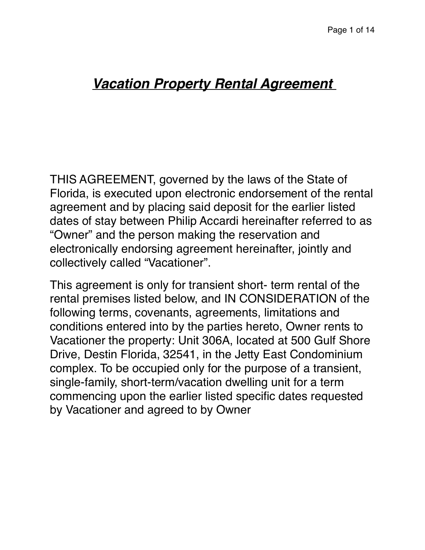# *Vacation Property Rental Agreement*

THIS AGREEMENT, governed by the laws of the State of Florida, is executed upon electronic endorsement of the rental agreement and by placing said deposit for the earlier listed dates of stay between Philip Accardi hereinafter referred to as "Owner" and the person making the reservation and electronically endorsing agreement hereinafter, jointly and collectively called "Vacationer".

This agreement is only for transient short- term rental of the rental premises listed below, and IN CONSIDERATION of the following terms, covenants, agreements, limitations and conditions entered into by the parties hereto, Owner rents to Vacationer the property: Unit 306A, located at 500 Gulf Shore Drive, Destin Florida, 32541, in the Jetty East Condominium complex. To be occupied only for the purpose of a transient, single-family, short-term/vacation dwelling unit for a term commencing upon the earlier listed specific dates requested by Vacationer and agreed to by Owner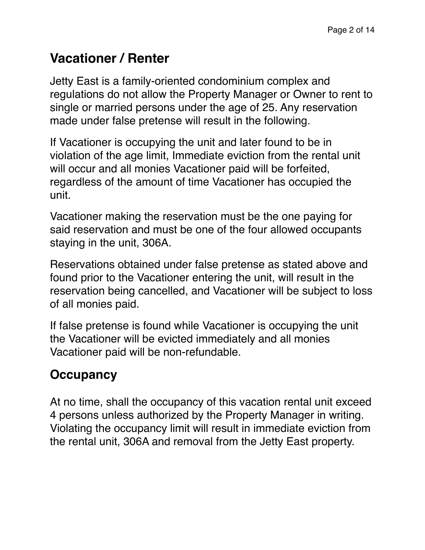# **Vacationer / Renter**

Jetty East is a family-oriented condominium complex and regulations do not allow the Property Manager or Owner to rent to single or married persons under the age of 25. Any reservation made under false pretense will result in the following.

If Vacationer is occupying the unit and later found to be in violation of the age limit, Immediate eviction from the rental unit will occur and all monies Vacationer paid will be forfeited, regardless of the amount of time Vacationer has occupied the unit.

Vacationer making the reservation must be the one paying for said reservation and must be one of the four allowed occupants staying in the unit, 306A.

Reservations obtained under false pretense as stated above and found prior to the Vacationer entering the unit, will result in the reservation being cancelled, and Vacationer will be subject to loss of all monies paid.

If false pretense is found while Vacationer is occupying the unit the Vacationer will be evicted immediately and all monies Vacationer paid will be non-refundable.

## **Occupancy**

At no time, shall the occupancy of this vacation rental unit exceed 4 persons unless authorized by the Property Manager in writing. Violating the occupancy limit will result in immediate eviction from the rental unit, 306A and removal from the Jetty East property.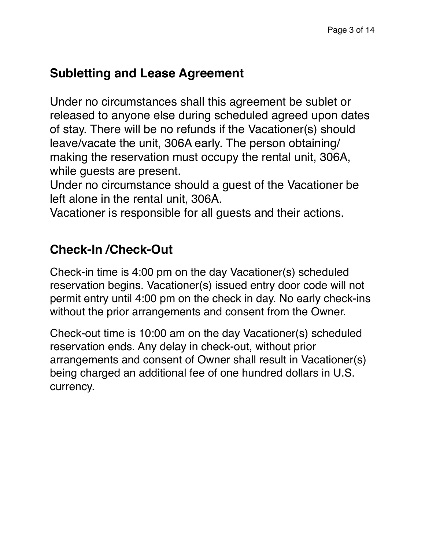### **Subletting and Lease Agreement**

Under no circumstances shall this agreement be sublet or released to anyone else during scheduled agreed upon dates of stay. There will be no refunds if the Vacationer(s) should leave/vacate the unit, 306A early. The person obtaining/ making the reservation must occupy the rental unit, 306A, while guests are present.

Under no circumstance should a guest of the Vacationer be left alone in the rental unit, 306A.

Vacationer is responsible for all guests and their actions.

### **Check-In /Check-Out**

Check-in time is 4:00 pm on the day Vacationer(s) scheduled reservation begins. Vacationer(s) issued entry door code will not permit entry until 4:00 pm on the check in day. No early check-ins without the prior arrangements and consent from the Owner.

Check-out time is 10:00 am on the day Vacationer(s) scheduled reservation ends. Any delay in check-out, without prior arrangements and consent of Owner shall result in Vacationer(s) being charged an additional fee of one hundred dollars in U.S. currency.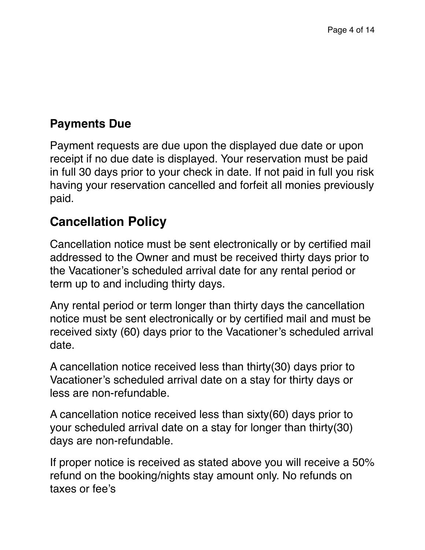#### **Payments Due**

Payment requests are due upon the displayed due date or upon receipt if no due date is displayed. Your reservation must be paid in full 30 days prior to your check in date. If not paid in full you risk having your reservation cancelled and forfeit all monies previously paid.

### **Cancellation Policy**

Cancellation notice must be sent electronically or by certified mail addressed to the Owner and must be received thirty days prior to the Vacationer's scheduled arrival date for any rental period or term up to and including thirty days.

Any rental period or term longer than thirty days the cancellation notice must be sent electronically or by certified mail and must be received sixty (60) days prior to the Vacationer's scheduled arrival date.

A cancellation notice received less than thirty(30) days prior to Vacationer's scheduled arrival date on a stay for thirty days or less are non-refundable.

A cancellation notice received less than sixty(60) days prior to your scheduled arrival date on a stay for longer than thirty(30) days are non-refundable.

If proper notice is received as stated above you will receive a 50% refund on the booking/nights stay amount only. No refunds on taxes or fee's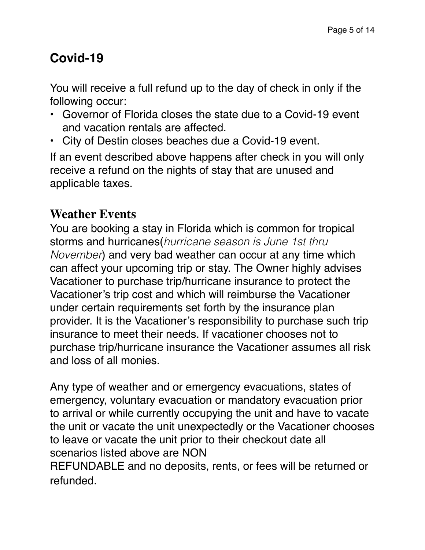# **Covid-19**

You will receive a full refund up to the day of check in only if the following occur:

- Governor of Florida closes the state due to a Covid-19 event and vacation rentals are affected.
- City of Destin closes beaches due a Covid-19 event.

If an event described above happens after check in you will only receive a refund on the nights of stay that are unused and applicable taxes.

#### **Weather Events**

You are booking a stay in Florida which is common for tropical storms and hurricanes(*hurricane season is June 1st thru November*) and very bad weather can occur at any time which can affect your upcoming trip or stay. The Owner highly advises Vacationer to purchase trip/hurricane insurance to protect the Vacationer's trip cost and which will reimburse the Vacationer under certain requirements set forth by the insurance plan provider. It is the Vacationer's responsibility to purchase such trip insurance to meet their needs. If vacationer chooses not to purchase trip/hurricane insurance the Vacationer assumes all risk and loss of all monies.

Any type of weather and or emergency evacuations, states of emergency, voluntary evacuation or mandatory evacuation prior to arrival or while currently occupying the unit and have to vacate the unit or vacate the unit unexpectedly or the Vacationer chooses to leave or vacate the unit prior to their checkout date all scenarios listed above are NON

REFUNDABLE and no deposits, rents, or fees will be returned or refunded.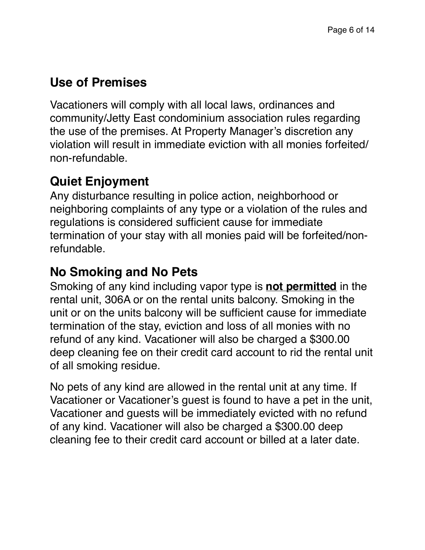## **Use of Premises**

Vacationers will comply with all local laws, ordinances and community/Jetty East condominium association rules regarding the use of the premises. At Property Manager's discretion any violation will result in immediate eviction with all monies forfeited/ non-refundable.

# **Quiet Enjoyment**

Any disturbance resulting in police action, neighborhood or neighboring complaints of any type or a violation of the rules and regulations is considered sufficient cause for immediate termination of your stay with all monies paid will be forfeited/nonrefundable.

# **No Smoking and No Pets**

Smoking of any kind including vapor type is **not permitted** in the rental unit, 306A or on the rental units balcony. Smoking in the unit or on the units balcony will be sufficient cause for immediate termination of the stay, eviction and loss of all monies with no refund of any kind. Vacationer will also be charged a \$300.00 deep cleaning fee on their credit card account to rid the rental unit of all smoking residue.

No pets of any kind are allowed in the rental unit at any time. If Vacationer or Vacationer's guest is found to have a pet in the unit, Vacationer and guests will be immediately evicted with no refund of any kind. Vacationer will also be charged a \$300.00 deep cleaning fee to their credit card account or billed at a later date.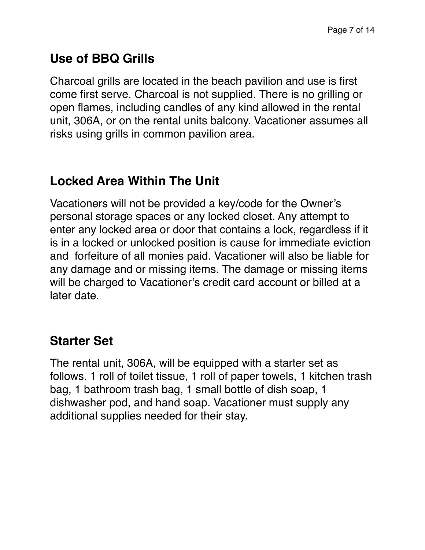## **Use of BBQ Grills**

Charcoal grills are located in the beach pavilion and use is first come first serve. Charcoal is not supplied. There is no grilling or open flames, including candles of any kind allowed in the rental unit, 306A, or on the rental units balcony. Vacationer assumes all risks using grills in common pavilion area.

### **Locked Area Within The Unit**

Vacationers will not be provided a key/code for the Owner's personal storage spaces or any locked closet. Any attempt to enter any locked area or door that contains a lock, regardless if it is in a locked or unlocked position is cause for immediate eviction and forfeiture of all monies paid. Vacationer will also be liable for any damage and or missing items. The damage or missing items will be charged to Vacationer's credit card account or billed at a later date.

### **Starter Set**

The rental unit, 306A, will be equipped with a starter set as follows. 1 roll of toilet tissue, 1 roll of paper towels, 1 kitchen trash bag, 1 bathroom trash bag, 1 small bottle of dish soap, 1 dishwasher pod, and hand soap. Vacationer must supply any additional supplies needed for their stay.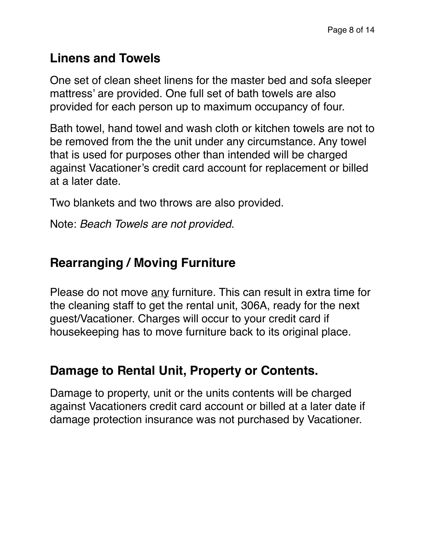#### **Linens and Towels**

One set of clean sheet linens for the master bed and sofa sleeper mattress' are provided. One full set of bath towels are also provided for each person up to maximum occupancy of four.

Bath towel, hand towel and wash cloth or kitchen towels are not to be removed from the the unit under any circumstance. Any towel that is used for purposes other than intended will be charged against Vacationer's credit card account for replacement or billed at a later date.

Two blankets and two throws are also provided.

Note: *Beach Towels are not provided.*

### **Rearranging / Moving Furniture**

Please do not move any furniture. This can result in extra time for the cleaning staff to get the rental unit, 306A, ready for the next guest/Vacationer. Charges will occur to your credit card if housekeeping has to move furniture back to its original place.

### **Damage to Rental Unit, Property or Contents.**

Damage to property, unit or the units contents will be charged against Vacationers credit card account or billed at a later date if damage protection insurance was not purchased by Vacationer.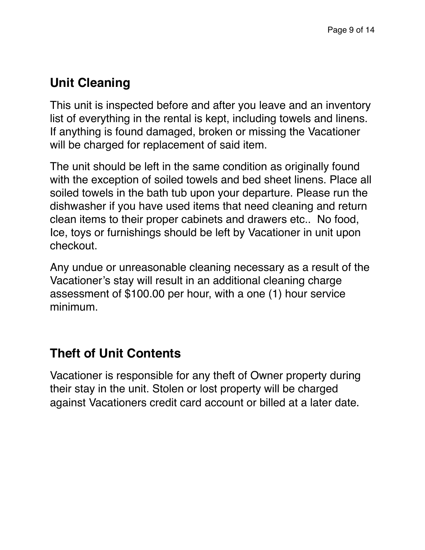### **Unit Cleaning**

This unit is inspected before and after you leave and an inventory list of everything in the rental is kept, including towels and linens. If anything is found damaged, broken or missing the Vacationer will be charged for replacement of said item.

The unit should be left in the same condition as originally found with the exception of soiled towels and bed sheet linens. Place all soiled towels in the bath tub upon your departure. Please run the dishwasher if you have used items that need cleaning and return clean items to their proper cabinets and drawers etc.. No food, Ice, toys or furnishings should be left by Vacationer in unit upon checkout.

Any undue or unreasonable cleaning necessary as a result of the Vacationer's stay will result in an additional cleaning charge assessment of \$100.00 per hour, with a one (1) hour service minimum.

# **Theft of Unit Contents**

Vacationer is responsible for any theft of Owner property during their stay in the unit. Stolen or lost property will be charged against Vacationers credit card account or billed at a later date.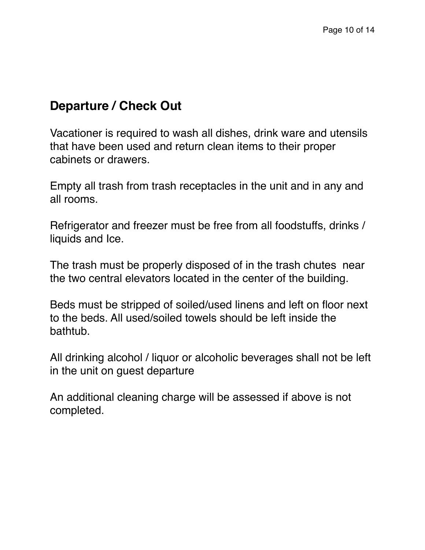#### **Departure / Check Out**

Vacationer is required to wash all dishes, drink ware and utensils that have been used and return clean items to their proper cabinets or drawers.

Empty all trash from trash receptacles in the unit and in any and all rooms.

Refrigerator and freezer must be free from all foodstuffs, drinks / liquids and Ice.

The trash must be properly disposed of in the trash chutes near the two central elevators located in the center of the building.

Beds must be stripped of soiled/used linens and left on floor next to the beds. All used/soiled towels should be left inside the bathtub.

All drinking alcohol / liquor or alcoholic beverages shall not be left in the unit on guest departure

An additional cleaning charge will be assessed if above is not completed.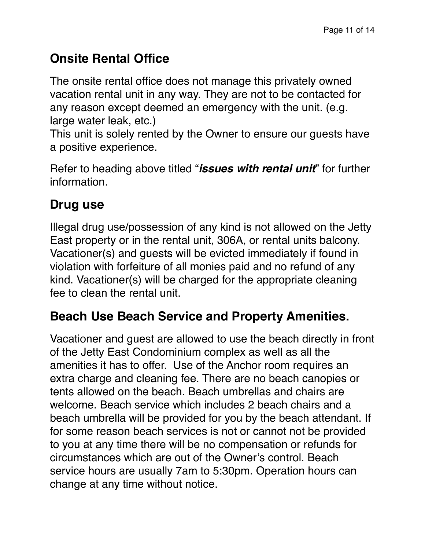# **Onsite Rental Office**

The onsite rental office does not manage this privately owned vacation rental unit in any way. They are not to be contacted for any reason except deemed an emergency with the unit. (e.g. large water leak, etc.)

This unit is solely rented by the Owner to ensure our guests have a positive experience.

Refer to heading above titled "*issues with rental unit*" for further information.

## **Drug use**

Illegal drug use/possession of any kind is not allowed on the Jetty East property or in the rental unit, 306A, or rental units balcony. Vacationer(s) and guests will be evicted immediately if found in violation with forfeiture of all monies paid and no refund of any kind. Vacationer(s) will be charged for the appropriate cleaning fee to clean the rental unit.

### **Beach Use Beach Service and Property Amenities.**

Vacationer and guest are allowed to use the beach directly in front of the Jetty East Condominium complex as well as all the amenities it has to offer. Use of the Anchor room requires an extra charge and cleaning fee. There are no beach canopies or tents allowed on the beach. Beach umbrellas and chairs are welcome. Beach service which includes 2 beach chairs and a beach umbrella will be provided for you by the beach attendant. If for some reason beach services is not or cannot not be provided to you at any time there will be no compensation or refunds for circumstances which are out of the Owner's control. Beach service hours are usually 7am to 5:30pm. Operation hours can change at any time without notice.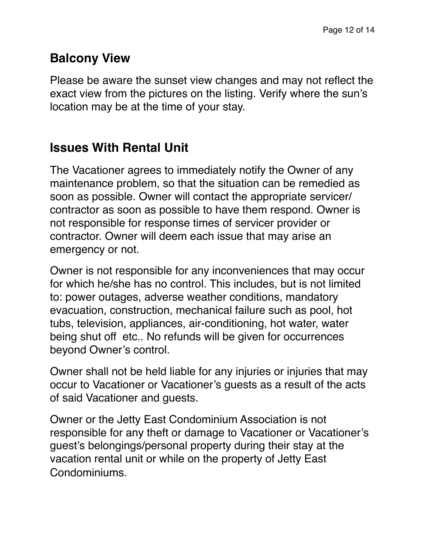#### **Balcony View**

Please be aware the sunset view changes and may not reflect the exact view from the pictures on the listing. Verify where the sun's location may be at the time of your stay.

#### **Issues With Rental Unit**

The Vacationer agrees to immediately notify the Owner of any maintenance problem, so that the situation can be remedied as soon as possible. Owner will contact the appropriate servicer/ contractor as soon as possible to have them respond. Owner is not responsible for response times of servicer provider or contractor. Owner will deem each issue that may arise an emergency or not.

Owner is not responsible for any inconveniences that may occur for which he/she has no control. This includes, but is not limited to: power outages, adverse weather conditions, mandatory evacuation, construction, mechanical failure such as pool, hot tubs, television, appliances, air-conditioning, hot water, water being shut off etc.. No refunds will be given for occurrences beyond Owner's control.

Owner shall not be held liable for any injuries or injuries that may occur to Vacationer or Vacationer's guests as a result of the acts of said Vacationer and guests.

Owner or the Jetty East Condominium Association is not responsible for any theft or damage to Vacationer or Vacationer's guest's belongings/personal property during their stay at the vacation rental unit or while on the property of Jetty East Condominiums.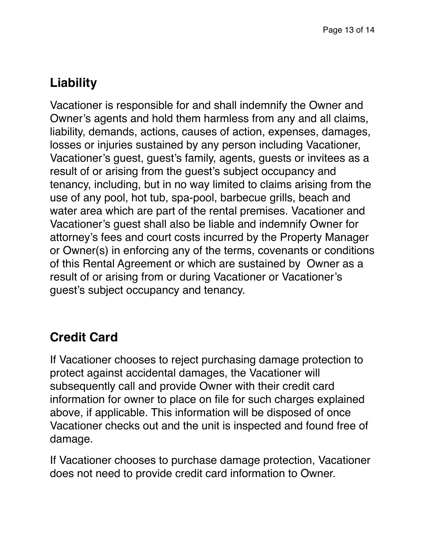# **Liability**

Vacationer is responsible for and shall indemnify the Owner and Owner's agents and hold them harmless from any and all claims, liability, demands, actions, causes of action, expenses, damages, losses or injuries sustained by any person including Vacationer, Vacationer's guest, guest's family, agents, guests or invitees as a result of or arising from the guest's subject occupancy and tenancy, including, but in no way limited to claims arising from the use of any pool, hot tub, spa-pool, barbecue grills, beach and water area which are part of the rental premises. Vacationer and Vacationer's guest shall also be liable and indemnify Owner for attorney's fees and court costs incurred by the Property Manager or Owner(s) in enforcing any of the terms, covenants or conditions of this Rental Agreement or which are sustained by Owner as a result of or arising from or during Vacationer or Vacationer's guest's subject occupancy and tenancy.

### **Credit Card**

If Vacationer chooses to reject purchasing damage protection to protect against accidental damages, the Vacationer will subsequently call and provide Owner with their credit card information for owner to place on file for such charges explained above, if applicable. This information will be disposed of once Vacationer checks out and the unit is inspected and found free of damage.

If Vacationer chooses to purchase damage protection, Vacationer does not need to provide credit card information to Owner.